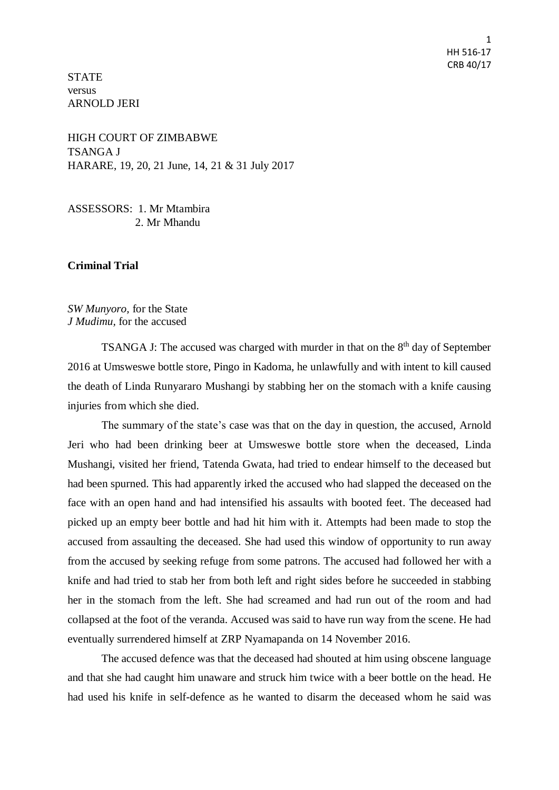1 HH 516-17 CRB 40/17

**STATE** versus ARNOLD JERI

HIGH COURT OF ZIMBABWE TSANGA J HARARE, 19, 20, 21 June, 14, 21 & 31 July 2017

ASSESSORS: 1. Mr Mtambira 2. Mr Mhandu

### **Criminal Trial**

*SW Munyoro,* for the State *J Mudimu,* for the accused

TSANGA J: The accused was charged with murder in that on the  $8<sup>th</sup>$  day of September 2016 at Umsweswe bottle store, Pingo in Kadoma, he unlawfully and with intent to kill caused the death of Linda Runyararo Mushangi by stabbing her on the stomach with a knife causing injuries from which she died.

The summary of the state's case was that on the day in question, the accused, Arnold Jeri who had been drinking beer at Umsweswe bottle store when the deceased, Linda Mushangi, visited her friend, Tatenda Gwata, had tried to endear himself to the deceased but had been spurned. This had apparently irked the accused who had slapped the deceased on the face with an open hand and had intensified his assaults with booted feet. The deceased had picked up an empty beer bottle and had hit him with it. Attempts had been made to stop the accused from assaulting the deceased. She had used this window of opportunity to run away from the accused by seeking refuge from some patrons. The accused had followed her with a knife and had tried to stab her from both left and right sides before he succeeded in stabbing her in the stomach from the left. She had screamed and had run out of the room and had collapsed at the foot of the veranda. Accused was said to have run way from the scene. He had eventually surrendered himself at ZRP Nyamapanda on 14 November 2016.

The accused defence was that the deceased had shouted at him using obscene language and that she had caught him unaware and struck him twice with a beer bottle on the head. He had used his knife in self-defence as he wanted to disarm the deceased whom he said was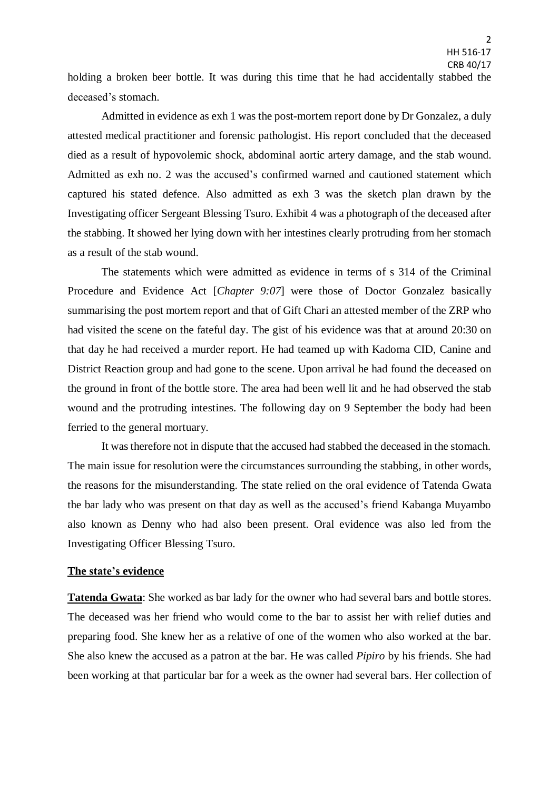holding a broken beer bottle. It was during this time that he had accidentally stabbed the deceased's stomach.

Admitted in evidence as exh 1 was the post-mortem report done by Dr Gonzalez, a duly attested medical practitioner and forensic pathologist. His report concluded that the deceased died as a result of hypovolemic shock, abdominal aortic artery damage, and the stab wound. Admitted as exh no. 2 was the accused's confirmed warned and cautioned statement which captured his stated defence. Also admitted as exh 3 was the sketch plan drawn by the Investigating officer Sergeant Blessing Tsuro. Exhibit 4 was a photograph of the deceased after the stabbing. It showed her lying down with her intestines clearly protruding from her stomach as a result of the stab wound.

The statements which were admitted as evidence in terms of s 314 of the Criminal Procedure and Evidence Act [*Chapter 9:07*] were those of Doctor Gonzalez basically summarising the post mortem report and that of Gift Chari an attested member of the ZRP who had visited the scene on the fateful day. The gist of his evidence was that at around 20:30 on that day he had received a murder report. He had teamed up with Kadoma CID, Canine and District Reaction group and had gone to the scene. Upon arrival he had found the deceased on the ground in front of the bottle store. The area had been well lit and he had observed the stab wound and the protruding intestines. The following day on 9 September the body had been ferried to the general mortuary.

It was therefore not in dispute that the accused had stabbed the deceased in the stomach. The main issue for resolution were the circumstances surrounding the stabbing, in other words, the reasons for the misunderstanding. The state relied on the oral evidence of Tatenda Gwata the bar lady who was present on that day as well as the accused's friend Kabanga Muyambo also known as Denny who had also been present. Oral evidence was also led from the Investigating Officer Blessing Tsuro.

### **The state's evidence**

**Tatenda Gwata**: She worked as bar lady for the owner who had several bars and bottle stores. The deceased was her friend who would come to the bar to assist her with relief duties and preparing food. She knew her as a relative of one of the women who also worked at the bar. She also knew the accused as a patron at the bar. He was called *Pipiro* by his friends. She had been working at that particular bar for a week as the owner had several bars. Her collection of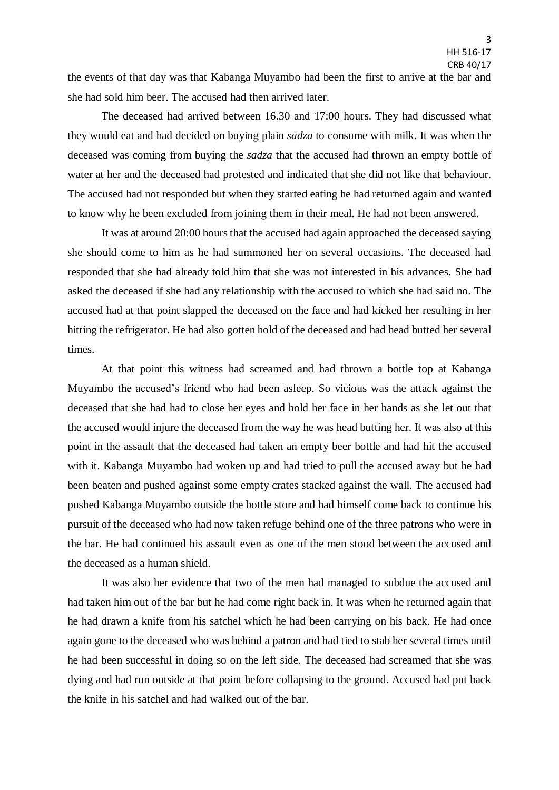the events of that day was that Kabanga Muyambo had been the first to arrive at the bar and she had sold him beer. The accused had then arrived later.

The deceased had arrived between 16.30 and 17:00 hours. They had discussed what they would eat and had decided on buying plain *sadza* to consume with milk. It was when the deceased was coming from buying the *sadza* that the accused had thrown an empty bottle of water at her and the deceased had protested and indicated that she did not like that behaviour. The accused had not responded but when they started eating he had returned again and wanted to know why he been excluded from joining them in their meal. He had not been answered.

It was at around 20:00 hours that the accused had again approached the deceased saying she should come to him as he had summoned her on several occasions. The deceased had responded that she had already told him that she was not interested in his advances. She had asked the deceased if she had any relationship with the accused to which she had said no. The accused had at that point slapped the deceased on the face and had kicked her resulting in her hitting the refrigerator. He had also gotten hold of the deceased and had head butted her several times.

At that point this witness had screamed and had thrown a bottle top at Kabanga Muyambo the accused's friend who had been asleep. So vicious was the attack against the deceased that she had had to close her eyes and hold her face in her hands as she let out that the accused would injure the deceased from the way he was head butting her. It was also at this point in the assault that the deceased had taken an empty beer bottle and had hit the accused with it. Kabanga Muyambo had woken up and had tried to pull the accused away but he had been beaten and pushed against some empty crates stacked against the wall. The accused had pushed Kabanga Muyambo outside the bottle store and had himself come back to continue his pursuit of the deceased who had now taken refuge behind one of the three patrons who were in the bar. He had continued his assault even as one of the men stood between the accused and the deceased as a human shield.

It was also her evidence that two of the men had managed to subdue the accused and had taken him out of the bar but he had come right back in. It was when he returned again that he had drawn a knife from his satchel which he had been carrying on his back. He had once again gone to the deceased who was behind a patron and had tied to stab her several times until he had been successful in doing so on the left side. The deceased had screamed that she was dying and had run outside at that point before collapsing to the ground. Accused had put back the knife in his satchel and had walked out of the bar.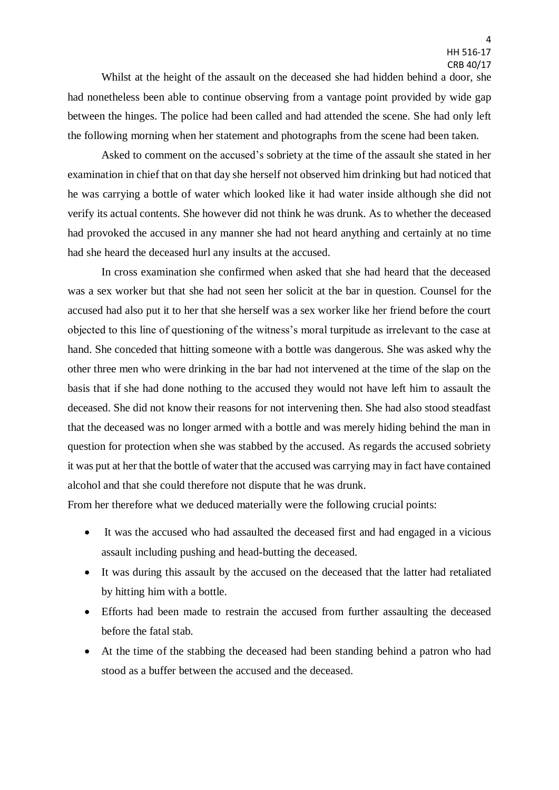Whilst at the height of the assault on the deceased she had hidden behind a door, she had nonetheless been able to continue observing from a vantage point provided by wide gap between the hinges. The police had been called and had attended the scene. She had only left the following morning when her statement and photographs from the scene had been taken.

Asked to comment on the accused's sobriety at the time of the assault she stated in her examination in chief that on that day she herself not observed him drinking but had noticed that he was carrying a bottle of water which looked like it had water inside although she did not verify its actual contents. She however did not think he was drunk. As to whether the deceased had provoked the accused in any manner she had not heard anything and certainly at no time had she heard the deceased hurl any insults at the accused.

In cross examination she confirmed when asked that she had heard that the deceased was a sex worker but that she had not seen her solicit at the bar in question. Counsel for the accused had also put it to her that she herself was a sex worker like her friend before the court objected to this line of questioning of the witness's moral turpitude as irrelevant to the case at hand. She conceded that hitting someone with a bottle was dangerous. She was asked why the other three men who were drinking in the bar had not intervened at the time of the slap on the basis that if she had done nothing to the accused they would not have left him to assault the deceased. She did not know their reasons for not intervening then. She had also stood steadfast that the deceased was no longer armed with a bottle and was merely hiding behind the man in question for protection when she was stabbed by the accused. As regards the accused sobriety it was put at her that the bottle of water that the accused was carrying may in fact have contained alcohol and that she could therefore not dispute that he was drunk.

From her therefore what we deduced materially were the following crucial points:

- It was the accused who had assaulted the deceased first and had engaged in a vicious assault including pushing and head-butting the deceased.
- It was during this assault by the accused on the deceased that the latter had retaliated by hitting him with a bottle.
- Efforts had been made to restrain the accused from further assaulting the deceased before the fatal stab.
- At the time of the stabbing the deceased had been standing behind a patron who had stood as a buffer between the accused and the deceased.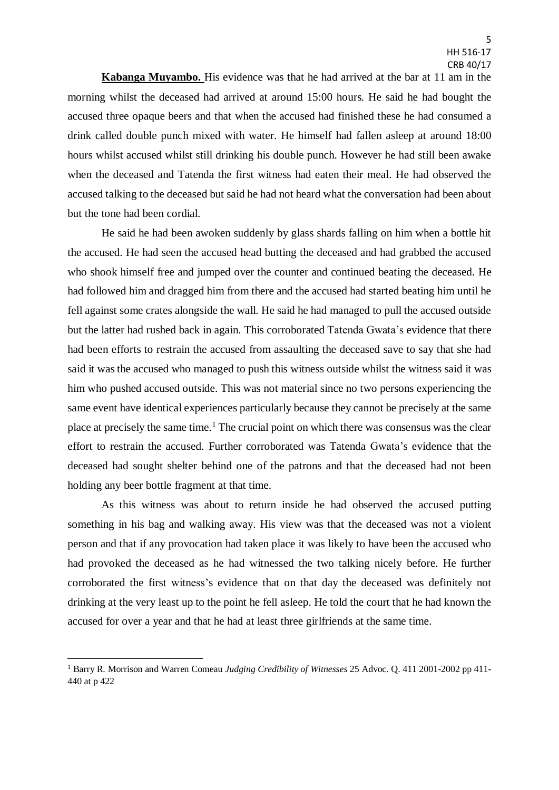**Kabanga Muyambo.** His evidence was that he had arrived at the bar at 11 am in the morning whilst the deceased had arrived at around 15:00 hours. He said he had bought the accused three opaque beers and that when the accused had finished these he had consumed a drink called double punch mixed with water. He himself had fallen asleep at around 18:00 hours whilst accused whilst still drinking his double punch. However he had still been awake when the deceased and Tatenda the first witness had eaten their meal. He had observed the accused talking to the deceased but said he had not heard what the conversation had been about but the tone had been cordial.

He said he had been awoken suddenly by glass shards falling on him when a bottle hit the accused. He had seen the accused head butting the deceased and had grabbed the accused who shook himself free and jumped over the counter and continued beating the deceased. He had followed him and dragged him from there and the accused had started beating him until he fell against some crates alongside the wall. He said he had managed to pull the accused outside but the latter had rushed back in again. This corroborated Tatenda Gwata's evidence that there had been efforts to restrain the accused from assaulting the deceased save to say that she had said it wasthe accused who managed to push this witness outside whilst the witness said it was him who pushed accused outside. This was not material since no two persons experiencing the same event have identical experiences particularly because they cannot be precisely at the same place at precisely the same time.<sup>1</sup> The crucial point on which there was consensus was the clear effort to restrain the accused. Further corroborated was Tatenda Gwata's evidence that the deceased had sought shelter behind one of the patrons and that the deceased had not been holding any beer bottle fragment at that time.

As this witness was about to return inside he had observed the accused putting something in his bag and walking away. His view was that the deceased was not a violent person and that if any provocation had taken place it was likely to have been the accused who had provoked the deceased as he had witnessed the two talking nicely before. He further corroborated the first witness's evidence that on that day the deceased was definitely not drinking at the very least up to the point he fell asleep. He told the court that he had known the accused for over a year and that he had at least three girlfriends at the same time.

1

<sup>1</sup> Barry R. Morrison and Warren Comeau *Judging Credibility of Witnesses* 25 Advoc. Q. 411 2001-2002 pp 411- 440 at p 422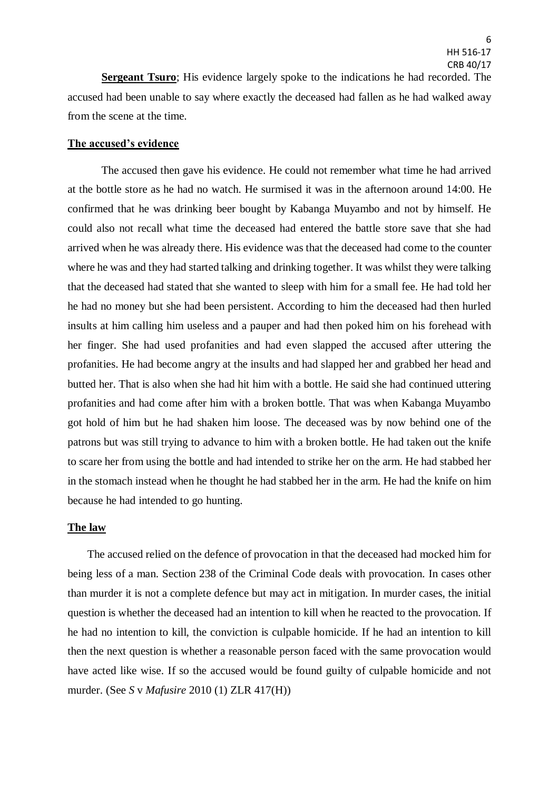**Sergeant Tsuro**; His evidence largely spoke to the indications he had recorded. The accused had been unable to say where exactly the deceased had fallen as he had walked away from the scene at the time.

#### **The accused's evidence**

The accused then gave his evidence. He could not remember what time he had arrived at the bottle store as he had no watch. He surmised it was in the afternoon around 14:00. He confirmed that he was drinking beer bought by Kabanga Muyambo and not by himself. He could also not recall what time the deceased had entered the battle store save that she had arrived when he was already there. His evidence was that the deceased had come to the counter where he was and they had started talking and drinking together. It was whilst they were talking that the deceased had stated that she wanted to sleep with him for a small fee. He had told her he had no money but she had been persistent. According to him the deceased had then hurled insults at him calling him useless and a pauper and had then poked him on his forehead with her finger. She had used profanities and had even slapped the accused after uttering the profanities. He had become angry at the insults and had slapped her and grabbed her head and butted her. That is also when she had hit him with a bottle. He said she had continued uttering profanities and had come after him with a broken bottle. That was when Kabanga Muyambo got hold of him but he had shaken him loose. The deceased was by now behind one of the patrons but was still trying to advance to him with a broken bottle. He had taken out the knife to scare her from using the bottle and had intended to strike her on the arm. He had stabbed her in the stomach instead when he thought he had stabbed her in the arm. He had the knife on him because he had intended to go hunting.

### **The law**

The accused relied on the defence of provocation in that the deceased had mocked him for being less of a man. Section 238 of the Criminal Code deals with provocation. In cases other than murder it is not a complete defence but may act in mitigation. In murder cases, the initial question is whether the deceased had an intention to kill when he reacted to the provocation. If he had no intention to kill, the conviction is culpable homicide. If he had an intention to kill then the next question is whether a reasonable person faced with the same provocation would have acted like wise. If so the accused would be found guilty of culpable homicide and not murder. (See *S* v *Mafusire* 2010 (1) ZLR 417(H))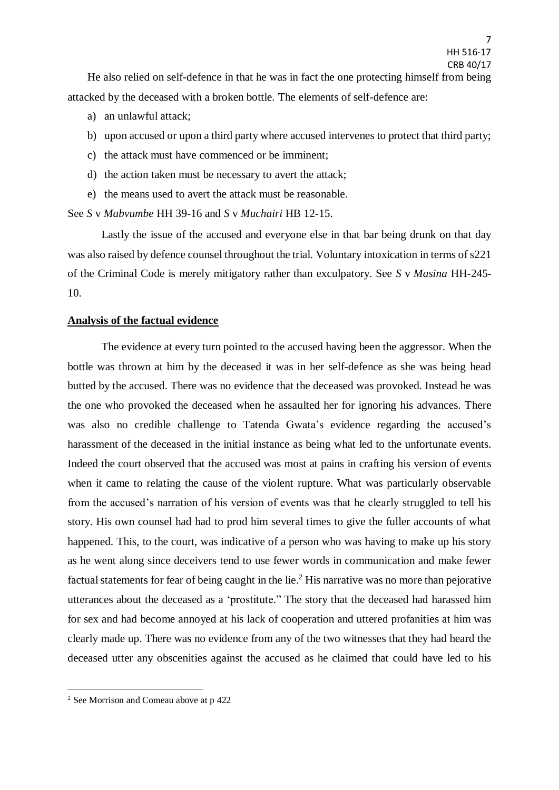- a) an unlawful attack;
- b) upon accused or upon a third party where accused intervenes to protect that third party;
- c) the attack must have commenced or be imminent;
- d) the action taken must be necessary to avert the attack;
- e) the means used to avert the attack must be reasonable.

See *S* v *Mabvumbe* HH 39-16 and *S* v *Muchairi* HB 12-15.

Lastly the issue of the accused and everyone else in that bar being drunk on that day was also raised by defence counsel throughout the trial. Voluntary intoxication in terms of s221 of the Criminal Code is merely mitigatory rather than exculpatory. See *S* v *Masina* HH-245- 10.

## **Analysis of the factual evidence**

The evidence at every turn pointed to the accused having been the aggressor. When the bottle was thrown at him by the deceased it was in her self-defence as she was being head butted by the accused. There was no evidence that the deceased was provoked. Instead he was the one who provoked the deceased when he assaulted her for ignoring his advances. There was also no credible challenge to Tatenda Gwata's evidence regarding the accused's harassment of the deceased in the initial instance as being what led to the unfortunate events. Indeed the court observed that the accused was most at pains in crafting his version of events when it came to relating the cause of the violent rupture. What was particularly observable from the accused's narration of his version of events was that he clearly struggled to tell his story. His own counsel had had to prod him several times to give the fuller accounts of what happened. This, to the court, was indicative of a person who was having to make up his story as he went along since deceivers tend to use fewer words in communication and make fewer factual statements for fear of being caught in the lie.<sup>2</sup> His narrative was no more than pejorative utterances about the deceased as a 'prostitute." The story that the deceased had harassed him for sex and had become annoyed at his lack of cooperation and uttered profanities at him was clearly made up. There was no evidence from any of the two witnesses that they had heard the deceased utter any obscenities against the accused as he claimed that could have led to his

1

<sup>2</sup> See Morrison and Comeau above at p 422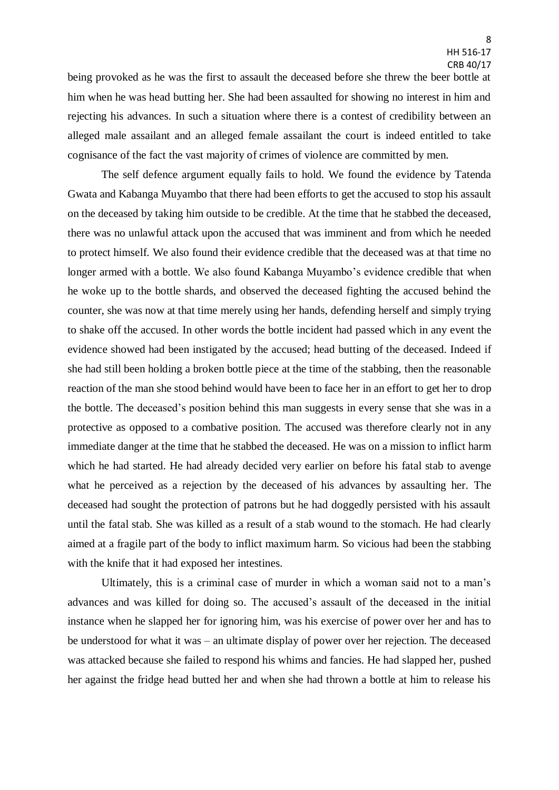being provoked as he was the first to assault the deceased before she threw the beer bottle at him when he was head butting her. She had been assaulted for showing no interest in him and rejecting his advances. In such a situation where there is a contest of credibility between an alleged male assailant and an alleged female assailant the court is indeed entitled to take cognisance of the fact the vast majority of crimes of violence are committed by men.

The self defence argument equally fails to hold. We found the evidence by Tatenda Gwata and Kabanga Muyambo that there had been efforts to get the accused to stop his assault on the deceased by taking him outside to be credible. At the time that he stabbed the deceased, there was no unlawful attack upon the accused that was imminent and from which he needed to protect himself. We also found their evidence credible that the deceased was at that time no longer armed with a bottle. We also found Kabanga Muyambo's evidence credible that when he woke up to the bottle shards, and observed the deceased fighting the accused behind the counter, she was now at that time merely using her hands, defending herself and simply trying to shake off the accused. In other words the bottle incident had passed which in any event the evidence showed had been instigated by the accused; head butting of the deceased. Indeed if she had still been holding a broken bottle piece at the time of the stabbing, then the reasonable reaction of the man she stood behind would have been to face her in an effort to get her to drop the bottle. The deceased's position behind this man suggests in every sense that she was in a protective as opposed to a combative position. The accused was therefore clearly not in any immediate danger at the time that he stabbed the deceased. He was on a mission to inflict harm which he had started. He had already decided very earlier on before his fatal stab to avenge what he perceived as a rejection by the deceased of his advances by assaulting her. The deceased had sought the protection of patrons but he had doggedly persisted with his assault until the fatal stab. She was killed as a result of a stab wound to the stomach. He had clearly aimed at a fragile part of the body to inflict maximum harm. So vicious had been the stabbing with the knife that it had exposed her intestines.

Ultimately, this is a criminal case of murder in which a woman said not to a man's advances and was killed for doing so. The accused's assault of the deceased in the initial instance when he slapped her for ignoring him, was his exercise of power over her and has to be understood for what it was – an ultimate display of power over her rejection. The deceased was attacked because she failed to respond his whims and fancies. He had slapped her, pushed her against the fridge head butted her and when she had thrown a bottle at him to release his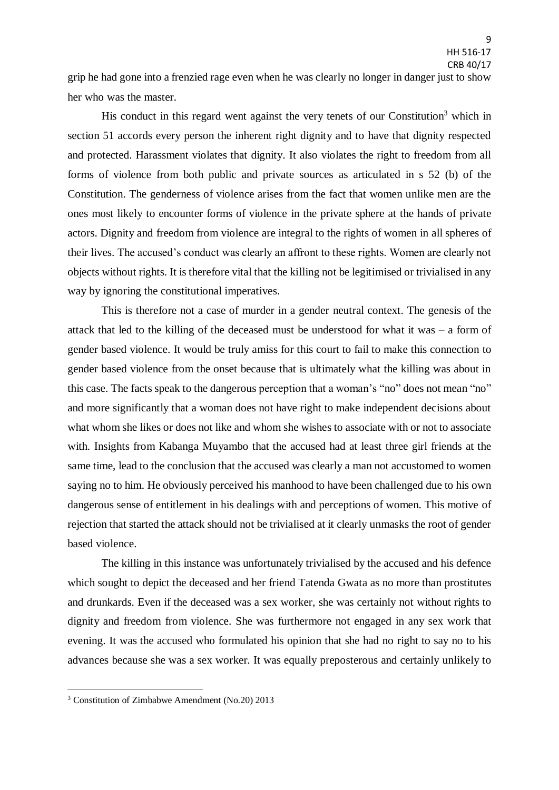grip he had gone into a frenzied rage even when he was clearly no longer in danger just to show her who was the master.

His conduct in this regard went against the very tenets of our Constitution<sup>3</sup> which in section 51 accords every person the inherent right dignity and to have that dignity respected and protected. Harassment violates that dignity. It also violates the right to freedom from all forms of violence from both public and private sources as articulated in s 52 (b) of the Constitution. The genderness of violence arises from the fact that women unlike men are the ones most likely to encounter forms of violence in the private sphere at the hands of private actors. Dignity and freedom from violence are integral to the rights of women in all spheres of their lives. The accused's conduct was clearly an affront to these rights. Women are clearly not objects without rights. It is therefore vital that the killing not be legitimised or trivialised in any way by ignoring the constitutional imperatives.

This is therefore not a case of murder in a gender neutral context. The genesis of the attack that led to the killing of the deceased must be understood for what it was – a form of gender based violence. It would be truly amiss for this court to fail to make this connection to gender based violence from the onset because that is ultimately what the killing was about in this case. The facts speak to the dangerous perception that a woman's "no" does not mean "no" and more significantly that a woman does not have right to make independent decisions about what whom she likes or does not like and whom she wishes to associate with or not to associate with. Insights from Kabanga Muyambo that the accused had at least three girl friends at the same time, lead to the conclusion that the accused was clearly a man not accustomed to women saying no to him. He obviously perceived his manhood to have been challenged due to his own dangerous sense of entitlement in his dealings with and perceptions of women. This motive of rejection that started the attack should not be trivialised at it clearly unmasks the root of gender based violence.

The killing in this instance was unfortunately trivialised by the accused and his defence which sought to depict the deceased and her friend Tatenda Gwata as no more than prostitutes and drunkards. Even if the deceased was a sex worker, she was certainly not without rights to dignity and freedom from violence. She was furthermore not engaged in any sex work that evening. It was the accused who formulated his opinion that she had no right to say no to his advances because she was a sex worker. It was equally preposterous and certainly unlikely to

1

<sup>3</sup> Constitution of Zimbabwe Amendment (No.20) 2013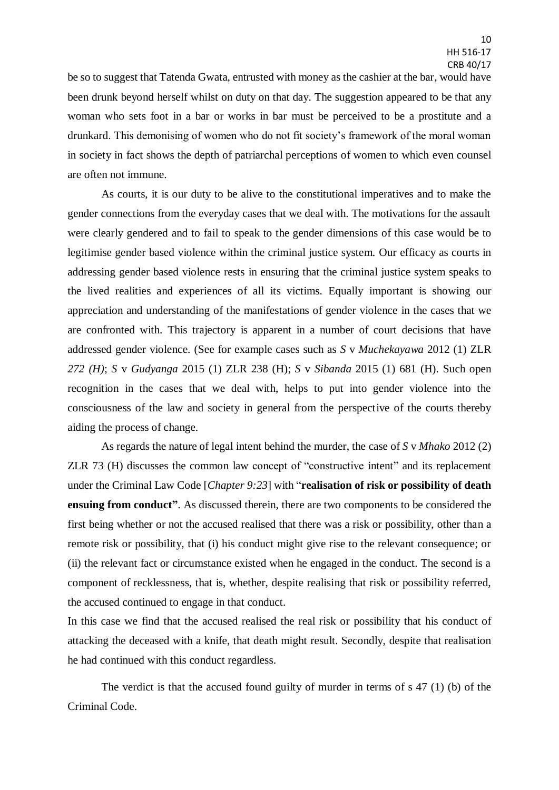be so to suggest that Tatenda Gwata, entrusted with money as the cashier at the bar, would have been drunk beyond herself whilst on duty on that day. The suggestion appeared to be that any woman who sets foot in a bar or works in bar must be perceived to be a prostitute and a drunkard. This demonising of women who do not fit society's framework of the moral woman in society in fact shows the depth of patriarchal perceptions of women to which even counsel are often not immune.

As courts, it is our duty to be alive to the constitutional imperatives and to make the gender connections from the everyday cases that we deal with. The motivations for the assault were clearly gendered and to fail to speak to the gender dimensions of this case would be to legitimise gender based violence within the criminal justice system. Our efficacy as courts in addressing gender based violence rests in ensuring that the criminal justice system speaks to the lived realities and experiences of all its victims. Equally important is showing our appreciation and understanding of the manifestations of gender violence in the cases that we are confronted with. This trajectory is apparent in a number of court decisions that have addressed gender violence. (See for example cases such as *S* v *Muchekayawa* 2012 (1) ZLR *272 (H)*; *S* v *Gudyanga* 2015 (1) ZLR 238 (H); *S* v *Sibanda* 2015 (1) 681 (H). Such open recognition in the cases that we deal with, helps to put into gender violence into the consciousness of the law and society in general from the perspective of the courts thereby aiding the process of change.

As regards the nature of legal intent behind the murder, the case of *S* v *Mhako* 2012 (2) ZLR 73 (H) discusses the common law concept of "constructive intent" and its replacement under the Criminal Law Code [*Chapter 9:23*] with "**realisation of risk or possibility of death ensuing from conduct"**. As discussed therein, there are two components to be considered the first being whether or not the accused realised that there was a risk or possibility, other than a remote risk or possibility, that (i) his conduct might give rise to the relevant consequence; or (ii) the relevant fact or circumstance existed when he engaged in the conduct. The second is a component of recklessness, that is, whether, despite realising that risk or possibility referred, the accused continued to engage in that conduct.

In this case we find that the accused realised the real risk or possibility that his conduct of attacking the deceased with a knife, that death might result. Secondly, despite that realisation he had continued with this conduct regardless.

The verdict is that the accused found guilty of murder in terms of s 47 (1) (b) of the Criminal Code.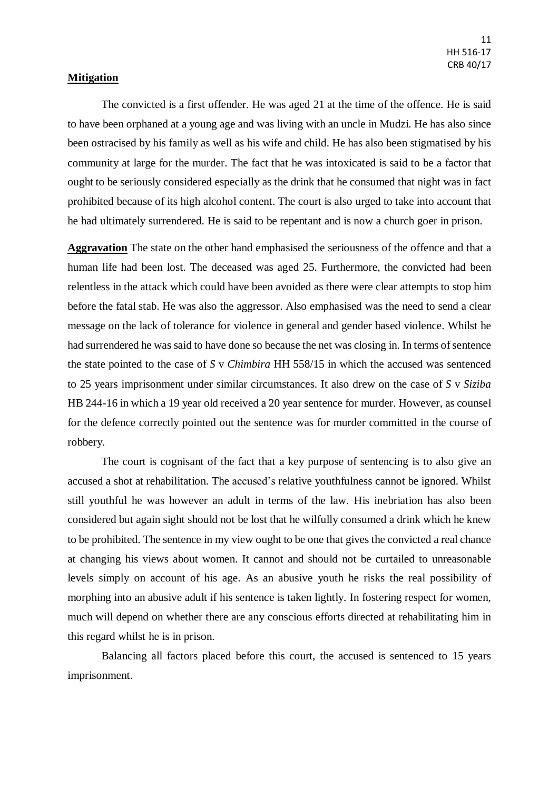# **Mitigation**

The convicted is a first offender. He was aged 21 at the time of the offence. He is said to have been orphaned at a young age and was living with an uncle in Mudzi. He has also since been ostracised by his family as well as his wife and child. He has also been stigmatised by his community at large for the murder. The fact that he was intoxicated is said to be a factor that ought to be seriously considered especially as the drink that he consumed that night was in fact prohibited because of its high alcohol content. The court is also urged to take into account that he had ultimately surrendered. He is said to be repentant and is now a church goer in prison.

**Aggravation** The state on the other hand emphasised the seriousness of the offence and that a human life had been lost. The deceased was aged 25. Furthermore, the convicted had been relentless in the attack which could have been avoided as there were clear attempts to stop him before the fatal stab. He was also the aggressor. Also emphasised was the need to send a clear message on the lack of tolerance for violence in general and gender based violence. Whilst he had surrendered he was said to have done so because the net was closing in. In terms of sentence the state pointed to the case of *S* v *Chimbira* HH 558/15 in which the accused was sentenced to 25 years imprisonment under similar circumstances. It also drew on the case of *S* v *Siziba* HB 244-16 in which a 19 year old received a 20 year sentence for murder. However, as counsel for the defence correctly pointed out the sentence was for murder committed in the course of robbery.

The court is cognisant of the fact that a key purpose of sentencing is to also give an accused a shot at rehabilitation. The accused's relative youthfulness cannot be ignored. Whilst still youthful he was however an adult in terms of the law. His inebriation has also been considered but again sight should not be lost that he wilfully consumed a drink which he knew to be prohibited. The sentence in my view ought to be one that gives the convicted a real chance at changing his views about women. It cannot and should not be curtailed to unreasonable levels simply on account of his age. As an abusive youth he risks the real possibility of morphing into an abusive adult if his sentence is taken lightly. In fostering respect for women, much will depend on whether there are any conscious efforts directed at rehabilitating him in this regard whilst he is in prison.

Balancing all factors placed before this court, the accused is sentenced to 15 years imprisonment.